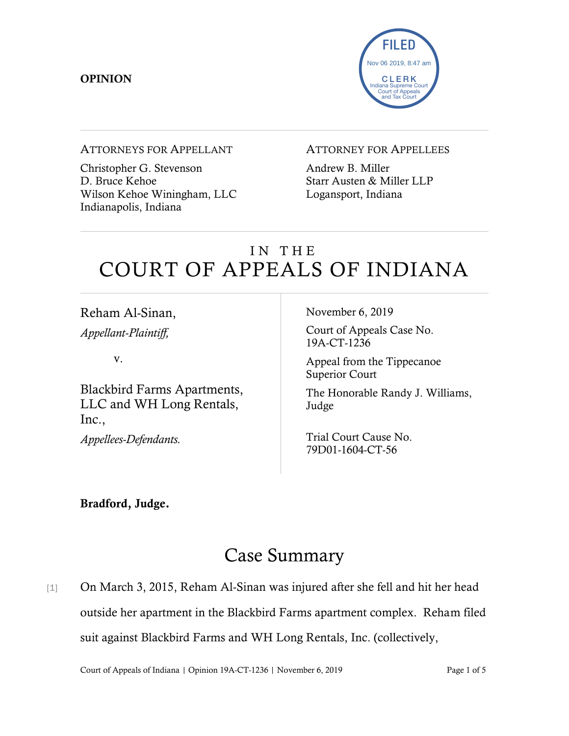### **OPINION**



#### ATTORNEYS FOR APPELLANT

Christopher G. Stevenson D. Bruce Kehoe Wilson Kehoe Winingham, LLC Indianapolis, Indiana

#### ATTORNEY FOR APPELLEES

Andrew B. Miller Starr Austen & Miller LLP Logansport, Indiana

# IN THE COURT OF APPEALS OF INDIANA

Reham Al-Sinan, *Appellant-Plaintiff,*

v.

Blackbird Farms Apartments, LLC and WH Long Rentals, Inc.,

*Appellees-Defendants.*

November 6, 2019

Court of Appeals Case No. 19A-CT-1236

Appeal from the Tippecanoe Superior Court

The Honorable Randy J. Williams, Judge

Trial Court Cause No. 79D01-1604-CT-56

Bradford, Judge.

# Case Summary

[1] On March 3, 2015, Reham Al-Sinan was injured after she fell and hit her head outside her apartment in the Blackbird Farms apartment complex. Reham filed suit against Blackbird Farms and WH Long Rentals, Inc. (collectively,

Court of Appeals of Indiana | Opinion 19A-CT-1236 | November 6, 2019 Page 1 of 5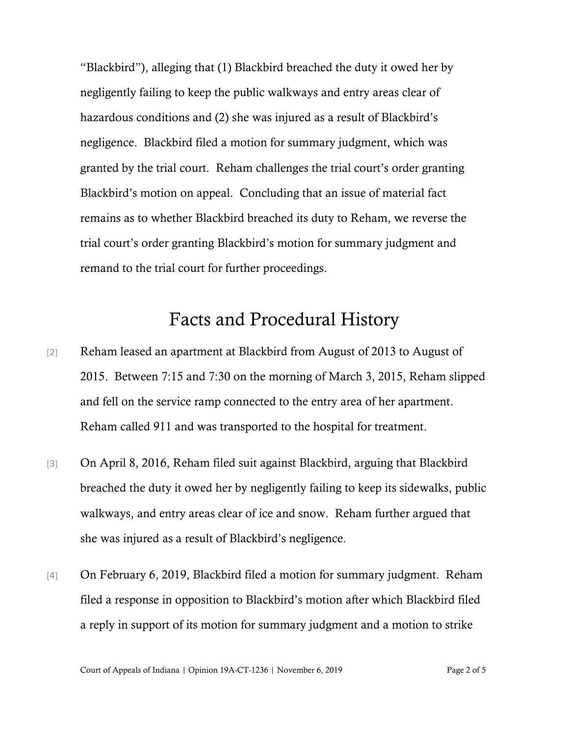"Blackbird"), alleging that (1) Blackbird breached the duty it owed her by negligently failing to keep the public walkways and entry areas clear of hazardous conditions and (2) she was injured as a result of Blackbird's negligence. Blackbird filed a motion for summary judgment, which was granted by the trial court. Reham challenges the trial court's order granting Blackbird's motion on appeal. Concluding that an issue of material fact remains as to whether Blackbird breached its duty to Reham, we reverse the trial court's order granting Blackbird's motion for summary judgment and remand to the trial court for further proceedings.

## Facts and Procedural History

- [2] Reham leased an apartment at Blackbird from August of 2013 to August of 2015. Between 7:15 and 7:30 on the morning of March 3, 2015, Reham slipped and fell on the service ramp connected to the entry area of her apartment. Reham called 911 and was transported to the hospital for treatment.
- [3] On April 8, 2016, Reham filed suit against Blackbird, arguing that Blackbird breached the duty it owed her by negligently failing to keep its sidewalks, public walkways, and entry areas clear of ice and snow. Reham further argued that she was injured as a result of Blackbird's negligence.
- [4] On February 6, 2019, Blackbird filed a motion for summary judgment. Reham filed a response in opposition to Blackbird's motion after which Blackbird filed a reply in support of its motion for summary judgment and a motion to strike

Court of Appeals of Indiana | Opinion 19A-CT-1236 | November 6, 2019 Page 2 of 5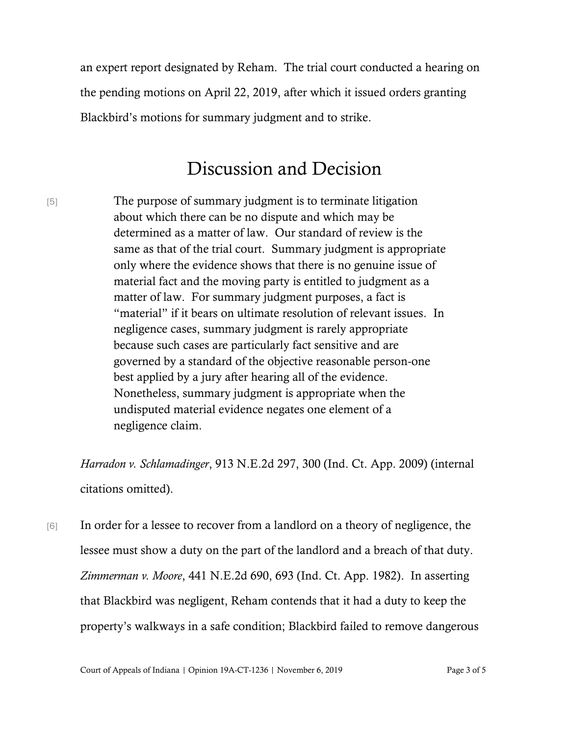an expert report designated by Reham. The trial court conducted a hearing on the pending motions on April 22, 2019, after which it issued orders granting Blackbird's motions for summary judgment and to strike.

## Discussion and Decision

[5] The purpose of summary judgment is to terminate litigation about which there can be no dispute and which may be determined as a matter of law. Our standard of review is the same as that of the trial court. Summary judgment is appropriate only where the evidence shows that there is no genuine issue of material fact and the moving party is entitled to judgment as a matter of law. For summary judgment purposes, a fact is "material" if it bears on ultimate resolution of relevant issues. In negligence cases, summary judgment is rarely appropriate because such cases are particularly fact sensitive and are governed by a standard of the objective reasonable person-one best applied by a jury after hearing all of the evidence. Nonetheless, summary judgment is appropriate when the undisputed material evidence negates one element of a negligence claim.

*Harradon v. Schlamadinger*, 913 N.E.2d 297, 300 (Ind. Ct. App. 2009) (internal citations omitted).

[6] In order for a lessee to recover from a landlord on a theory of negligence, the lessee must show a duty on the part of the landlord and a breach of that duty. *Zimmerman v. Moore*, 441 N.E.2d 690, 693 (Ind. Ct. App. 1982). In asserting that Blackbird was negligent, Reham contends that it had a duty to keep the property's walkways in a safe condition; Blackbird failed to remove dangerous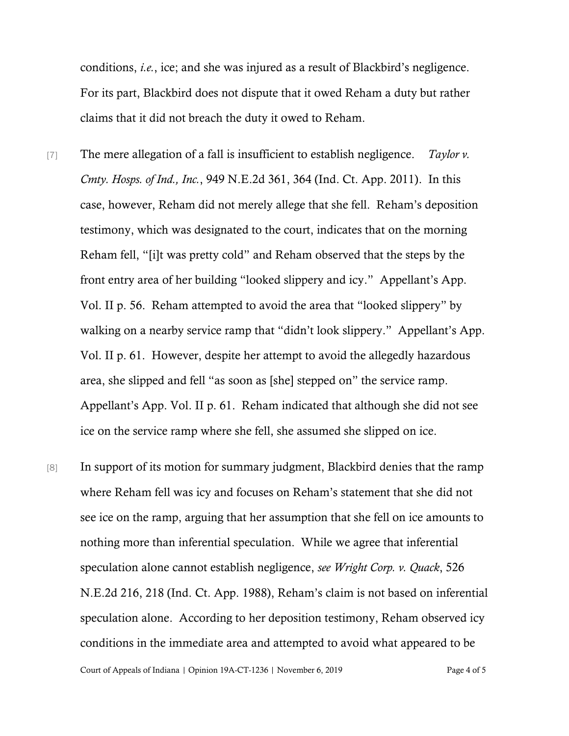conditions, *i.e.*, ice; and she was injured as a result of Blackbird's negligence. For its part, Blackbird does not dispute that it owed Reham a duty but rather claims that it did not breach the duty it owed to Reham.

- [7] The mere allegation of a fall is insufficient to establish negligence. *Taylor v. Cmty. Hosps. of Ind., Inc.*, 949 N.E.2d 361, 364 (Ind. Ct. App. 2011). In this case, however, Reham did not merely allege that she fell. Reham's deposition testimony, which was designated to the court, indicates that on the morning Reham fell, "[i]t was pretty cold" and Reham observed that the steps by the front entry area of her building "looked slippery and icy." Appellant's App. Vol. II p. 56. Reham attempted to avoid the area that "looked slippery" by walking on a nearby service ramp that "didn't look slippery." Appellant's App. Vol. II p. 61. However, despite her attempt to avoid the allegedly hazardous area, she slipped and fell "as soon as [she] stepped on" the service ramp. Appellant's App. Vol. II p. 61. Reham indicated that although she did not see ice on the service ramp where she fell, she assumed she slipped on ice.
- [8] In support of its motion for summary judgment, Blackbird denies that the ramp where Reham fell was icy and focuses on Reham's statement that she did not see ice on the ramp, arguing that her assumption that she fell on ice amounts to nothing more than inferential speculation. While we agree that inferential speculation alone cannot establish negligence, *see Wright Corp. v. Quack*, 526 N.E.2d 216, 218 (Ind. Ct. App. 1988), Reham's claim is not based on inferential speculation alone. According to her deposition testimony, Reham observed icy conditions in the immediate area and attempted to avoid what appeared to be

Court of Appeals of Indiana | Opinion 19A-CT-1236 | November 6, 2019 Page 4 of 5